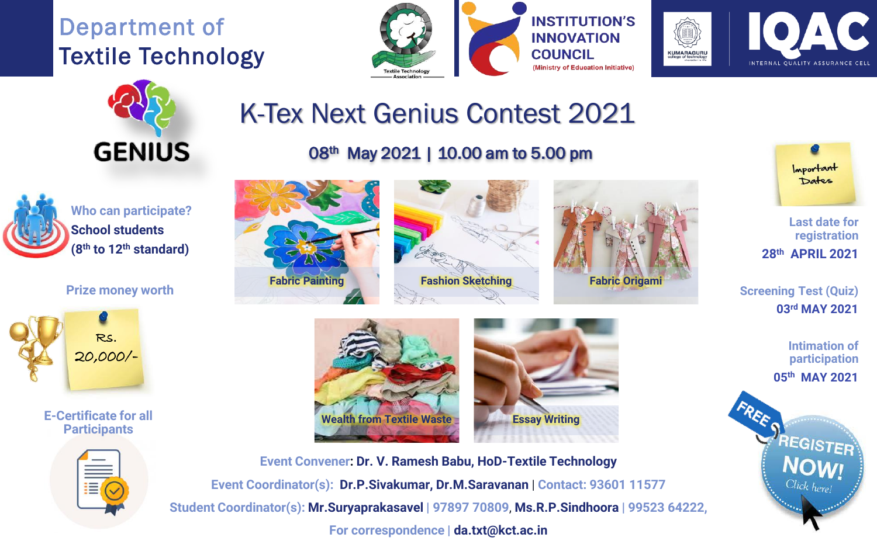Department of Textile Technology







# K-Tex Next Genius Contest 2021



**Who can participate? School students (8th to 12th standard)**

### **Prize money worth**



**E-Certificate for all Participants**



## 08<sup>th</sup> May 2021 | 10.00 am to 5.00 pm











Important Dates

**Last date for registration 28th APRIL 2021**

**Screening Test (Quiz) 03rd MAY 2021**

> **Intimation of participation 05th MAY 2021**